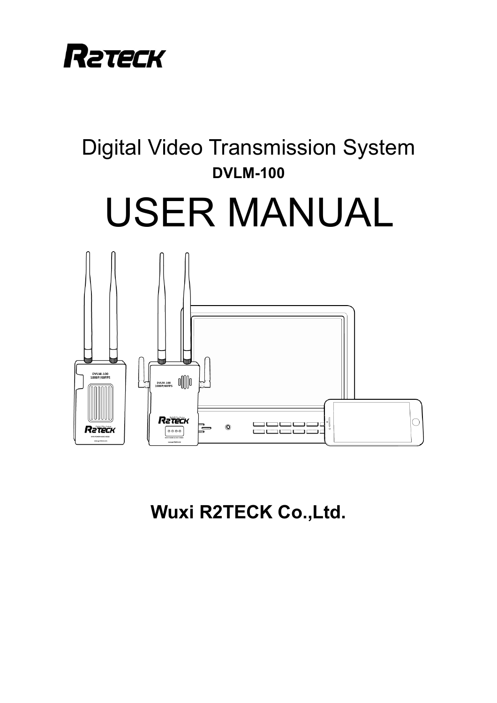

# Digital Video Transmission System **DVLM-100** USER MANUAL



**Wuxi R2TECK Co.,Ltd.**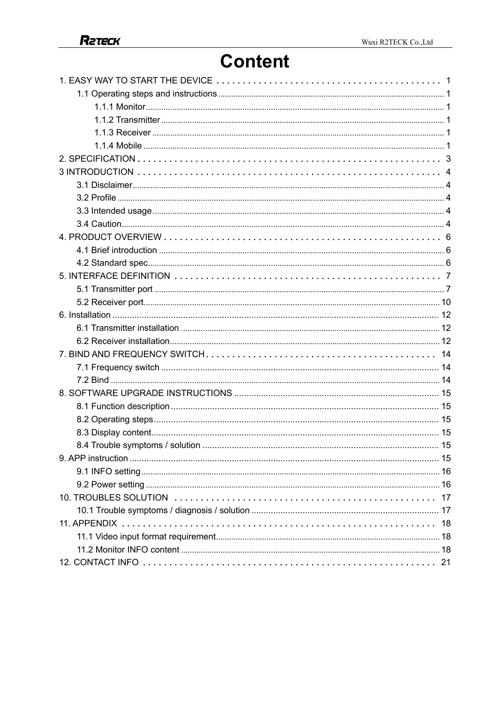# **Content**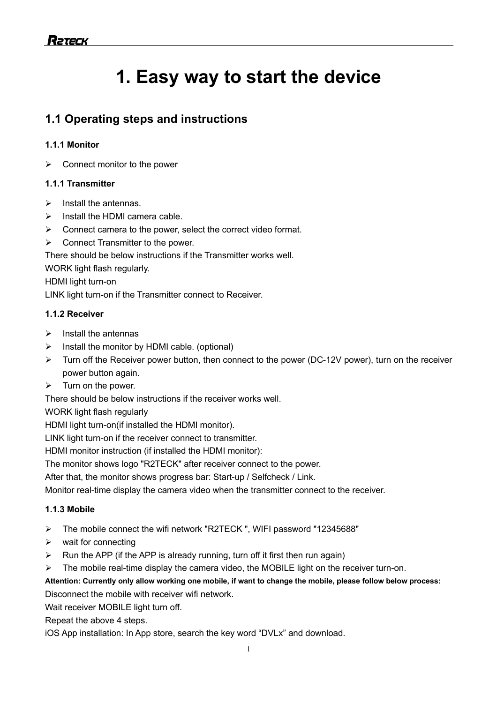# **1. Easy way to start the device**

# **1.1 Operating steps and instructions**

### **1.1.1 Monitor**

 $\triangleright$  Connect monitor to the power

### **1.1.1 Transmitter**

- $\triangleright$  Install the antennas.
- $\triangleright$  Install the HDMI camera cable.
- $\triangleright$  Connect camera to the power, select the correct video format.
- $\triangleright$  Connect Transmitter to the power.

There should be below instructions if the Transmitter works well.

WORK light flash regularly.

HDMI light turn-on

LINK light turn-on if the Transmitter connect to Receiver.

### **1.1.2 Receiver**

- $\triangleright$  Install the antennas
- $\triangleright$  Install the monitor by HDMI cable. (optional)
- $\triangleright$  Turn off the Receiver power button, then connect to the power (DC-12V power), turn on the receiver power button again.
- $\triangleright$  Turn on the power.

There should be below instructions if the receiver works well.

WORK light flash regularly

HDMI light turn-on(if installed the HDMI monitor).

LINK light turn-on if the receiver connect to transmitter.

HDMI monitor instruction (if installed the HDMI monitor):

The monitor shows logo "R2TECK" after receiver connect to the power.

After that, the monitor shows progress bar: Start-up / Selfcheck / Link.

Monitor real-time display the camera video when the transmitter connect to the receiver.

#### **1.1.3 Mobile**

- Ø The mobile connect the wifi network "R2TECK ", WIFI password "12345688"
- $\triangleright$  wait for connecting
- $\triangleright$  Run the APP (if the APP is already running, turn off it first then run again)

 $\triangleright$  The mobile real-time display the camera video, the MOBILE light on the receiver turn-on.

**Attention: Currently only allow working one mobile, if want to change the mobile, please follow below process:**

Disconnect the mobile with receiver wifi network.

Wait receiver MOBILE light turn off.

Repeat the above 4 steps.

iOS App installation: In App store, search the key word "DVLx" and download.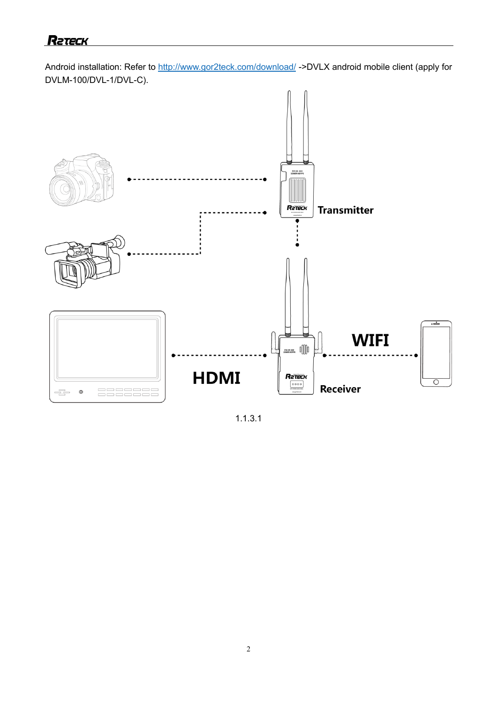Android installation: Refer to http://www.gor2teck.com/download/ ->DVLX android mobile client (apply for DVLM-100/DVL-1/DVL-C).



1.1.3.1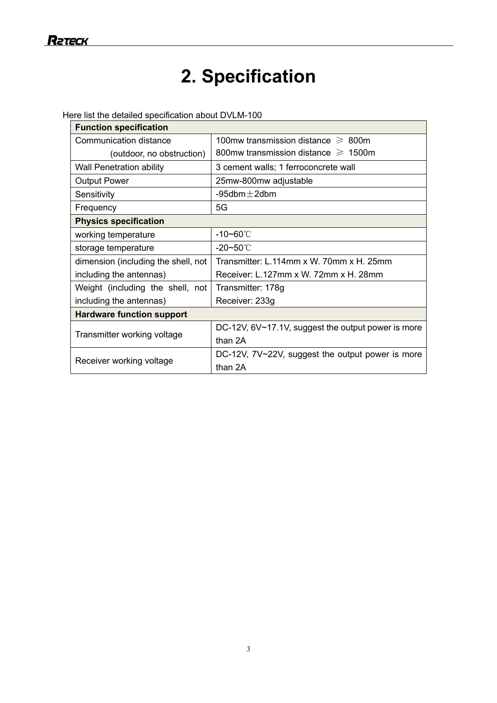# **2. Specification**

Here list the detailed specification about DVLM-100

| <b>Function specification</b>       |                                                    |  |
|-------------------------------------|----------------------------------------------------|--|
| Communication distance              | 100mw transmission distance $\geq 800$ m           |  |
| (outdoor, no obstruction)           | 800mw transmission distance $\geq 1500$ m          |  |
| <b>Wall Penetration ability</b>     | 3 cement walls; 1 ferroconcrete wall               |  |
| <b>Output Power</b>                 | 25mw-800mw adjustable                              |  |
| Sensitivity                         | -95dbm $\pm$ 2dbm                                  |  |
| Frequency                           | 5G                                                 |  |
| <b>Physics specification</b>        |                                                    |  |
| working temperature                 | $-10 - 60^{\circ}$                                 |  |
| storage temperature                 | $-20 - 50^{\circ}$                                 |  |
| dimension (including the shell, not | Transmitter: L.114mm x W. 70mm x H. 25mm           |  |
| including the antennas)             | Receiver: L.127mm x W. 72mm x H. 28mm              |  |
| Weight (including the shell, not    | Transmitter: 178g                                  |  |
| including the antennas)             | Receiver: 233g                                     |  |
| <b>Hardware function support</b>    |                                                    |  |
|                                     | DC-12V, 6V~17.1V, suggest the output power is more |  |
| Transmitter working voltage         | than 2A                                            |  |
|                                     | DC-12V, 7V~22V, suggest the output power is more   |  |
| Receiver working voltage            | than 2A                                            |  |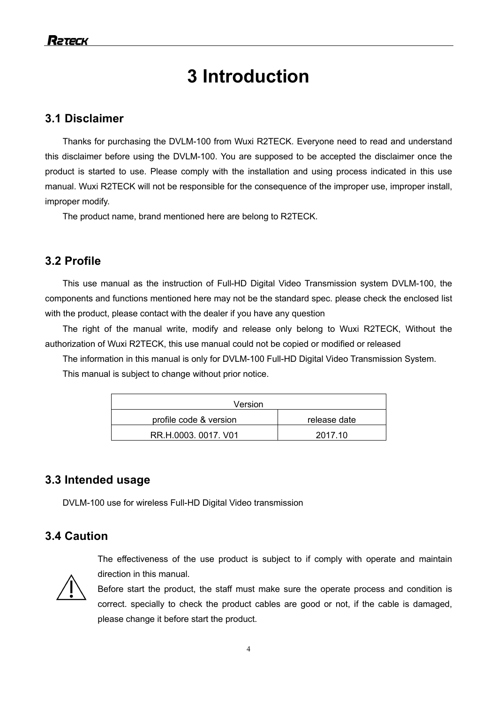# **3 Introduction**

# **3.1 Disclaimer**

Thanks for purchasing the DVLM-100 from Wuxi R2TECK. Everyone need to read and understand this disclaimer before using the DVLM-100. You are supposed to be accepted the disclaimer once the product is started to use. Please comply with the installation and using process indicated in this use manual. Wuxi R2TECK will not be responsible for the consequence of the improper use, improper install, improper modify.

The product name, brand mentioned here are belong to R2TECK.

# **3.2 Profile**

This use manual as the instruction of Full-HD Digital Video Transmission system DVLM-100, the components and functions mentioned here may not be the standard spec. please check the enclosed list with the product, please contact with the dealer if you have any question

The right of the manual write, modify and release only belong to Wuxi R2TECK, Without the authorization of Wuxi R2TECK, this use manual could not be copied or modified or released

The information in this manual is only for DVLM-100 Full-HD Digital Video Transmission System. This manual is subject to change without prior notice.

| Version                |              |  |
|------------------------|--------------|--|
| profile code & version | release date |  |
| RR.H.0003.0017. V01    | 2017.10      |  |

## **3.3 Intended usage**

DVLM-100 use for wireless Full-HD Digital Video transmission

please change it before start the product.

# **3.4 Caution**

The effectiveness of the use product is subject to if comply with operate and maintain direction in this manual.



Before start the product, the staff must make sure the operate process and condition is correct. specially to check the product cables are good or not, if the cable is damaged,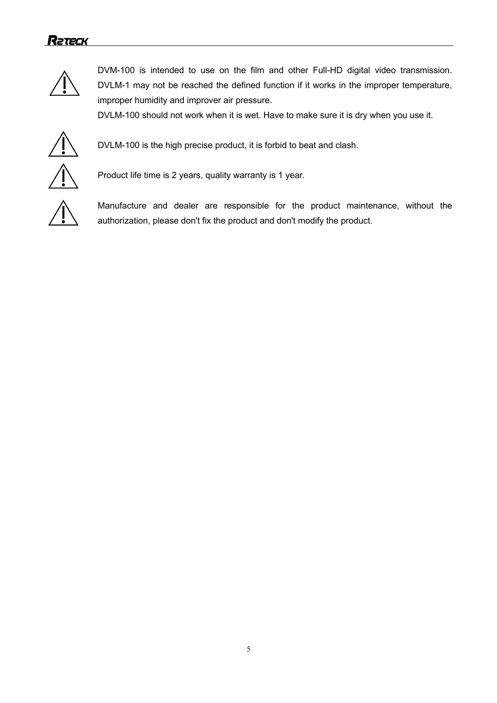

DVM-100 is intended to use on the film and other Full-HD digital video transmission. DVLM-1 may not be reached the defined function if it works in the improper temperature, improper humidity and improver air pressure.

DVLM-100 should not work when it is wet. Have to make sure it is dry when you use it.



DVLM-100 is the high precise product, it is forbid to beat and clash.

Product life time is 2 years, quality warranty is 1 year.



Manufacture and dealer are responsible for the product maintenance, without the authorization, please don't fix the product and don't modify the product.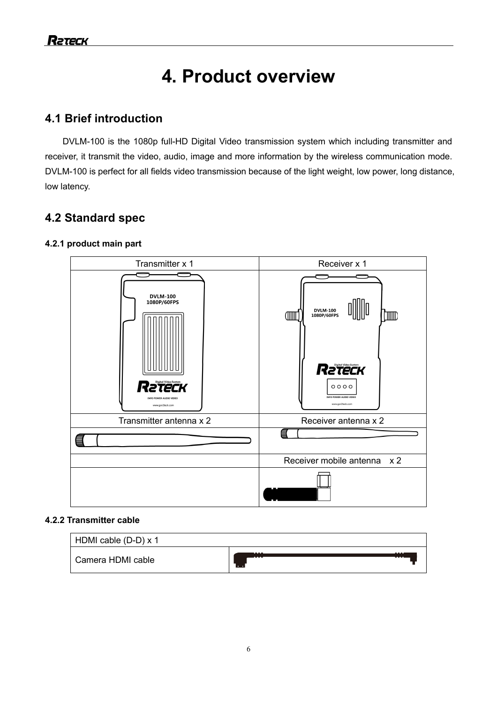# **4. Product overview**

# **4.1 Brief introduction**

DVLM-100 is the 1080p full-HD Digital Video transmission system which including transmitter and receiver, it transmit the video, audio, image and more information by the wireless communication mode. DVLM-100 is perfect for all fields video transmission because of the light weight, low power, long distance, low latency.

# **4.2 Standard spec**

### **4.2.1 product main part**



#### **4.2.2 Transmitter cable**

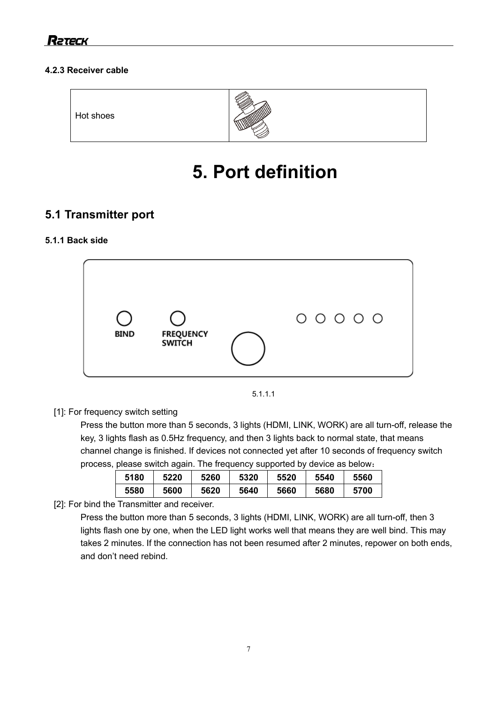### **4.2.3 Receiver cable**



# **5. Port definition**

# **5.1 Transmitter port**

### **5.1.1 Back side**





[1]: For frequency switch setting

Press the button more than 5 seconds, 3 lights (HDMI, LINK, WORK) are all turn-off, release the key, 3 lights flash as 0.5Hz frequency, and then 3 lights back to normal state, that means channel change is finished. If devices not connected yet after 10 seconds of frequency switch process, please switch again. The frequency supported by device as below:

| 5180 | 5220 | 5260 | 5320 | 5520 | 5540 | 5560 |
|------|------|------|------|------|------|------|
| 5580 | 5600 | 5620 | 5640 | 5660 | 5680 | 5700 |

[2]: For bind the Transmitter and receiver.

Press the button more than 5 seconds, 3 lights (HDMI, LINK, WORK) are all turn-off, then 3 lights flash one by one, when the LED light works well that means they are well bind. This may takes 2 minutes. If the connection has not been resumed after 2 minutes, repower on both ends, and don't need rebind.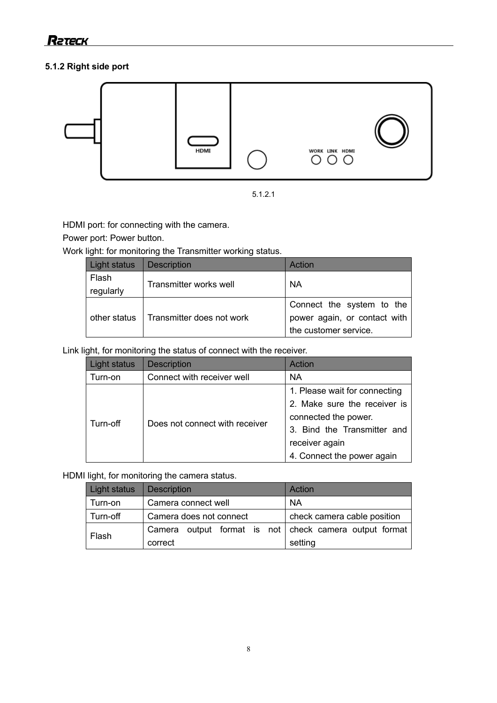### **5.1.2 Right side port**





HDMI port: for connecting with the camera.

Power port: Power button.

Work light: for monitoring the Transmitter working status.

| Light status | <b>Description</b>        | Action                       |
|--------------|---------------------------|------------------------------|
| Flash        |                           | <b>NA</b>                    |
| regularly    | Transmitter works well    |                              |
| other status |                           | Connect the system to the    |
|              | Transmitter does not work | power again, or contact with |
|              |                           | the customer service.        |

Link light, for monitoring the status of connect with the receiver.

| Light status | <b>Description</b>             | Action                        |
|--------------|--------------------------------|-------------------------------|
| Turn-on      | Connect with receiver well     | <b>NA</b>                     |
|              | Does not connect with receiver | 1. Please wait for connecting |
|              |                                | 2. Make sure the receiver is  |
| Turn-off     |                                | connected the power.          |
|              |                                | 3. Bind the Transmitter and   |
|              |                                | receiver again                |
|              |                                | 4. Connect the power again    |

HDMI light, for monitoring the camera status.

| Light status | <b>Description</b>      | Action                                          |
|--------------|-------------------------|-------------------------------------------------|
| Turn-on      | Camera connect well     | <b>NA</b>                                       |
| Turn-off     | Camera does not connect | check camera cable position                     |
|              | Camera                  | output format is not check camera output format |
| Flash        | correct                 | setting                                         |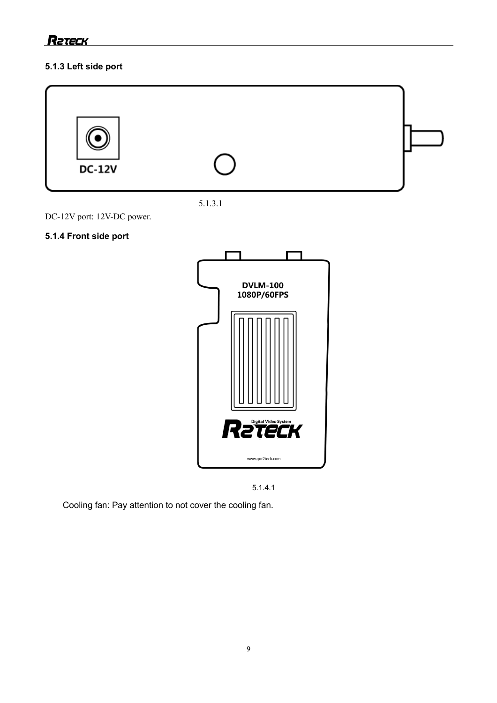### **5.1.3 Left side port**





DC-12V port: 12V-DC power.

# **5.1.4 Front side port**





Cooling fan: Pay attention to not cover the cooling fan.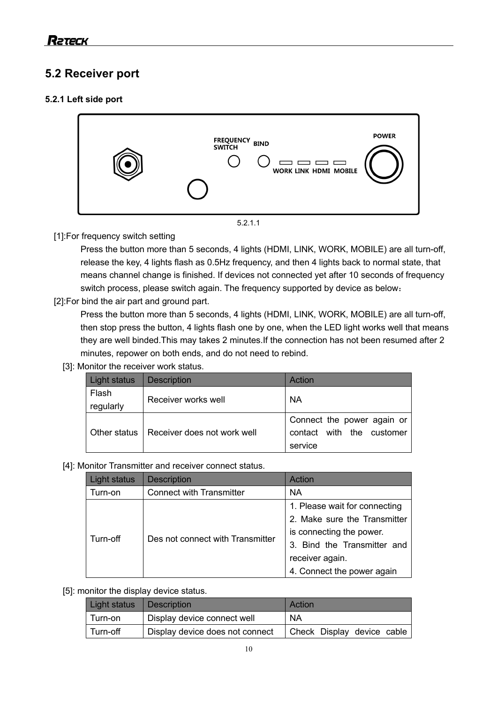# **5.2 Receiver port**

### **5.2.1 Left side port**



### [1]:For frequency switch setting

Press the button more than 5 seconds, 4 lights (HDMI, LINK, WORK, MOBILE) are all turn-off, release the key, 4 lights flash as 0.5Hz frequency, and then 4 lights back to normal state, that means channel change is finished. If devices not connected yet after 10 seconds of frequency switch process, please switch again. The frequency supported by device as below:

[2]:For bind the air part and ground part.

Press the button more than 5 seconds, 4 lights (HDMI, LINK, WORK, MOBILE) are all turn-off, then stop press the button, 4 lights flash one by one, when the LED light works well that means they are well binded.This may takes 2 minutes.If the connection has not been resumed after 2 minutes, repower on both ends, and do not need to rebind.

[3]: Monitor the receiver work status.

| Light status       | <b>Description</b>          | Action                                                             |
|--------------------|-----------------------------|--------------------------------------------------------------------|
| Flash<br>regularly | Receiver works well         | <b>NA</b>                                                          |
| Other status       | Receiver does not work well | Connect the power again or<br>contact with the customer<br>service |

[4]: Monitor Transmitter and receiver connect status.

| Light status | <b>Description</b>               | Action                        |
|--------------|----------------------------------|-------------------------------|
| Turn-on      | <b>Connect with Transmitter</b>  | <b>NA</b>                     |
|              |                                  | 1. Please wait for connecting |
|              |                                  | 2. Make sure the Transmitter  |
|              | Des not connect with Transmitter | is connecting the power.      |
| Turn-off     |                                  | 3. Bind the Transmitter and   |
|              |                                  | receiver again.               |
|              |                                  | 4. Connect the power again    |

#### [5]: monitor the display device status.

| Light status | <b>Description</b>              | Action                     |
|--------------|---------------------------------|----------------------------|
| Turn-on      | Display device connect well     | <b>NA</b>                  |
| ∪ Turn-off   | Display device does not connect | Check Display device cable |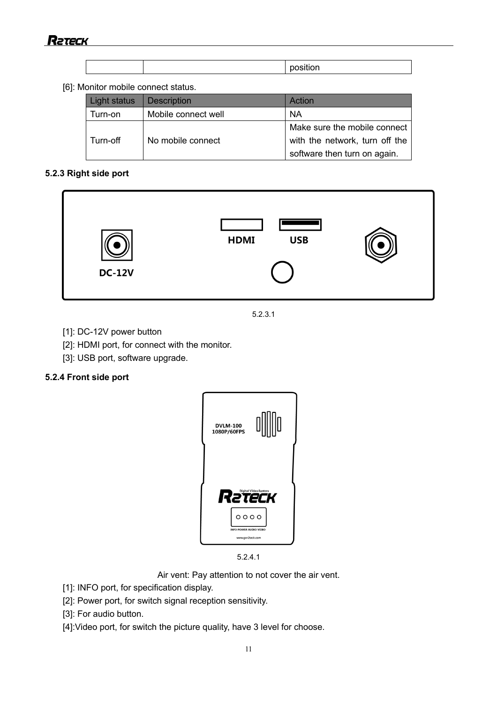|  | position |
|--|----------|

#### [6]: Monitor mobile connect status.

| Light status | <b>Description</b>  | Action                         |
|--------------|---------------------|--------------------------------|
| Turn-on      | Mobile connect well | <b>NA</b>                      |
|              |                     | Make sure the mobile connect   |
| Turn-off     | No mobile connect   | with the network, turn off the |
|              |                     | software then turn on again.   |

#### **5.2.3 Right side port**



5.2.3.1

- [1]: DC-12V power button
- [2]: HDMI port, for connect with the monitor.
- [3]: USB port, software upgrade.

#### **5.2.4 Front side port**





Air vent: Pay attention to not cover the air vent.

- [1]: INFO port, for specification display.
- [2]: Power port, for switch signal reception sensitivity.

[3]: For audio button.

[4]:Video port, for switch the picture quality, have 3 level for choose.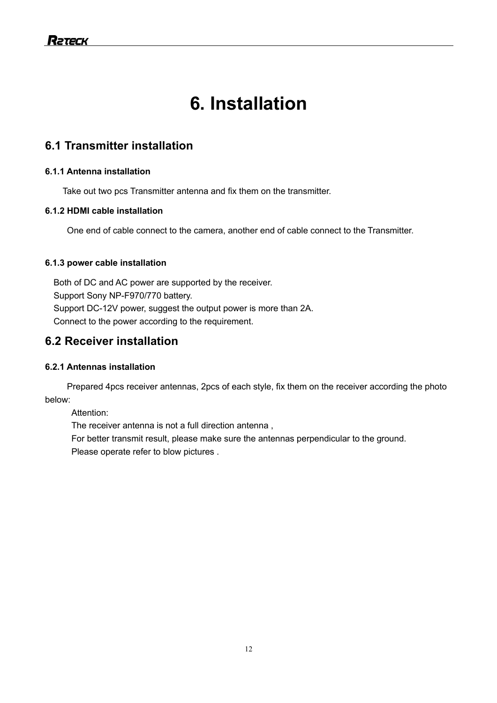# **6. Installation**

# **6.1 Transmitter installation**

### **6.1.1 Antenna installation**

Take out two pcs Transmitter antenna and fix them on the transmitter.

### **6.1.2 HDMI cable installation**

One end of cable connect to the camera, another end of cable connect to the Transmitter.

### **6.1.3 power cable installation**

Both of DC and AC power are supported by the receiver. Support Sony NP-F970/770 battery. Support DC-12V power, suggest the output power is more than 2A. Connect to the power according to the requirement.

# **6.2 Receiver installation**

### **6.2.1 Antennas installation**

 Prepared 4pcs receiver antennas, 2pcs of each style, fix them on the receiver according the photo below:

Attention:

The receiver antenna is not a full direction antenna ,

For better transmit result, please make sure the antennas perpendicular to the ground.

Please operate refer to blow pictures .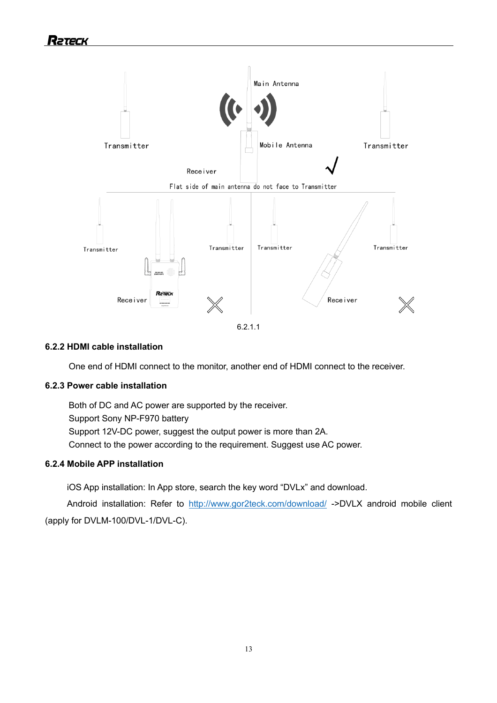

#### 6.2.1.1

#### **6.2.2 HDMI cable installation**

One end of HDMI connect to the monitor, another end of HDMI connect to the receiver.

#### **6.2.3 Power cable installation**

Both of DC and AC power are supported by the receiver. Support Sony NP-F970 battery Support 12V-DC power, suggest the output power is more than 2A. Connect to the power according to the requirement. Suggest use AC power.

#### **6.2.4 Mobile APP installation**

iOS App installation: In App store, search the key word "DVLx" and download.

Android installation: Refer to http://www.gor2teck.com/download/ ->DVLX android mobile client (apply for DVLM-100/DVL-1/DVL-C).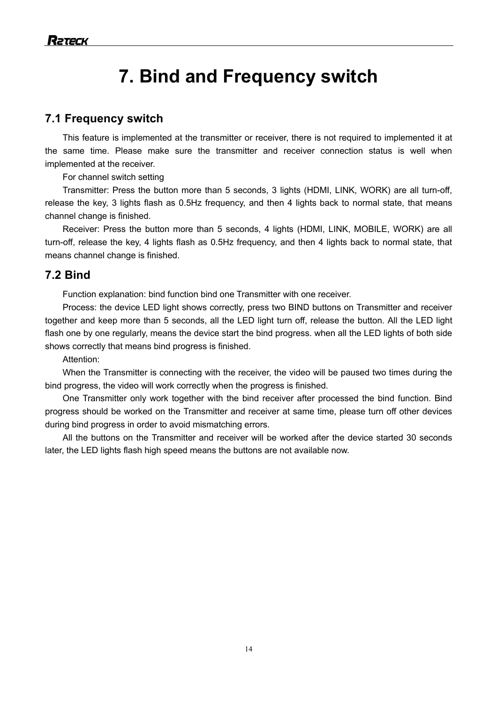# **7. Bind and Frequency switch**

### **7.1 Frequency switch**

This feature is implemented at the transmitter or receiver, there is not required to implemented it at the same time. Please make sure the transmitter and receiver connection status is well when implemented at the receiver.

For channel switch setting

Transmitter: Press the button more than 5 seconds, 3 lights (HDMI, LINK, WORK) are all turn-off, release the key, 3 lights flash as 0.5Hz frequency, and then 4 lights back to normal state, that means channel change is finished.

Receiver: Press the button more than 5 seconds, 4 lights (HDMI, LINK, MOBILE, WORK) are all turn-off, release the key, 4 lights flash as 0.5Hz frequency, and then 4 lights back to normal state, that means channel change is finished.

### **7.2 Bind**

Function explanation: bind function bind one Transmitter with one receiver.

Process: the device LED light shows correctly, press two BIND buttons on Transmitter and receiver together and keep more than 5 seconds, all the LED light turn off, release the button. All the LED light flash one by one regularly, means the device start the bind progress. when all the LED lights of both side shows correctly that means bind progress is finished.

Attention:

 When the Transmitter is connecting with the receiver, the video will be paused two times during the bind progress, the video will work correctly when the progress is finished.

 One Transmitter only work together with the bind receiver after processed the bind function. Bind progress should be worked on the Transmitter and receiver at same time, please turn off other devices during bind progress in order to avoid mismatching errors.

All the buttons on the Transmitter and receiver will be worked after the device started 30 seconds later, the LED lights flash high speed means the buttons are not available now.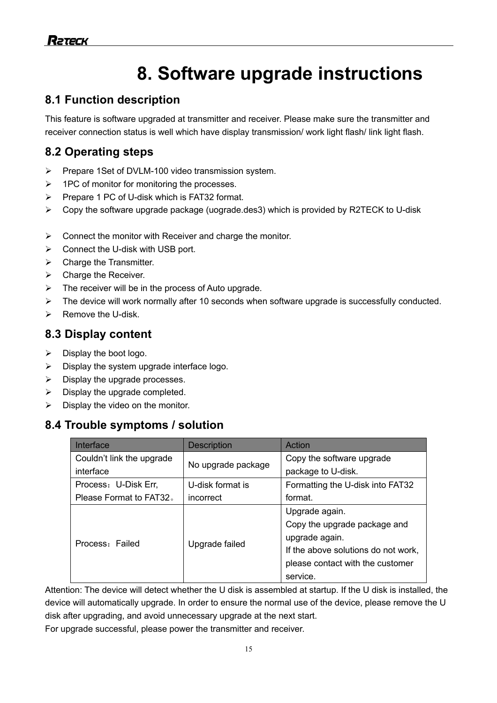# **8. Software upgrade instructions**

# **8.1 Function description**

This feature is software upgraded at transmitter and receiver. Please make sure the transmitter and receiver connection status is well which have display transmission/ work light flash/ link light flash.

# **8.2 Operating steps**

- Ø Prepare 1Set of DVLM-100 video transmission system.
- $\triangleright$  1PC of monitor for monitoring the processes.
- $\triangleright$  Prepare 1 PC of U-disk which is FAT32 format.
- $\triangleright$  Copy the software upgrade package (uograde.des3) which is provided by R2TECK to U-disk
- $\triangleright$  Connect the monitor with Receiver and charge the monitor.
- $\triangleright$  Connect the U-disk with USB port.
- $\triangleright$  Charge the Transmitter.
- $\triangleright$  Charge the Receiver.
- $\triangleright$  The receiver will be in the process of Auto upgrade.
- $\triangleright$  The device will work normally after 10 seconds when software upgrade is successfully conducted.
- $\triangleright$  Remove the U-disk.

# **8.3 Display content**

- $\triangleright$  Display the boot logo.
- $\triangleright$  Display the system upgrade interface logo.
- $\triangleright$  Display the upgrade processes.
- $\triangleright$  Display the upgrade completed.
- $\triangleright$  Display the video on the monitor.

# **8.4 Trouble symptoms / solution**

| Interface                 | <b>Description</b> | Action                              |  |
|---------------------------|--------------------|-------------------------------------|--|
| Couldn't link the upgrade |                    | Copy the software upgrade           |  |
| interface                 | No upgrade package | package to U-disk.                  |  |
| Process: U-Disk Err,      | U-disk format is   | Formatting the U-disk into FAT32    |  |
| Please Format to FAT32.   | incorrect          | format.                             |  |
| Process: Failed           | Upgrade failed     | Upgrade again.                      |  |
|                           |                    | Copy the upgrade package and        |  |
|                           |                    | upgrade again.                      |  |
|                           |                    | If the above solutions do not work, |  |
|                           |                    | please contact with the customer    |  |
|                           |                    | service.                            |  |

Attention: The device will detect whether the U disk is assembled at startup. If the U disk is installed, the device will automatically upgrade. In order to ensure the normal use of the device, please remove the U disk after upgrading, and avoid unnecessary upgrade at the next start.

For upgrade successful, please power the transmitter and receiver.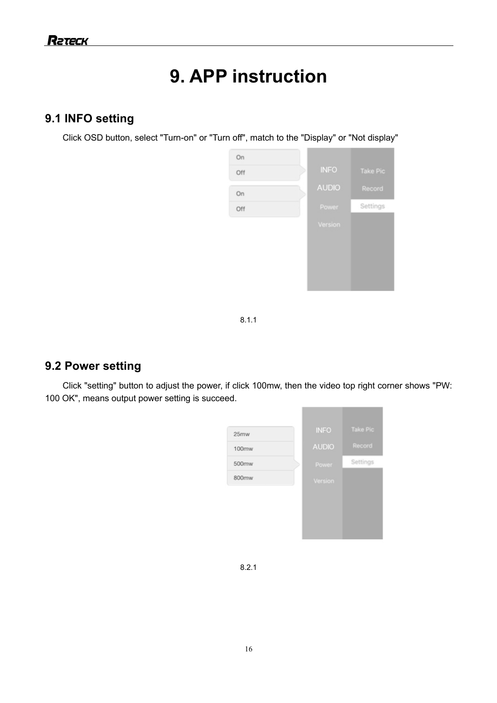# **9. APP instruction**

# **9.1 INFO setting**

Click OSD button, select "Turn-on" or "Turn off", match to the "Display" or "Not display"



8.1.1

# **9.2 Power setting**

Click "setting" button to adjust the power, if click 100mw, then the video top right corner shows "PW: 100 OK", means output power setting is succeed.



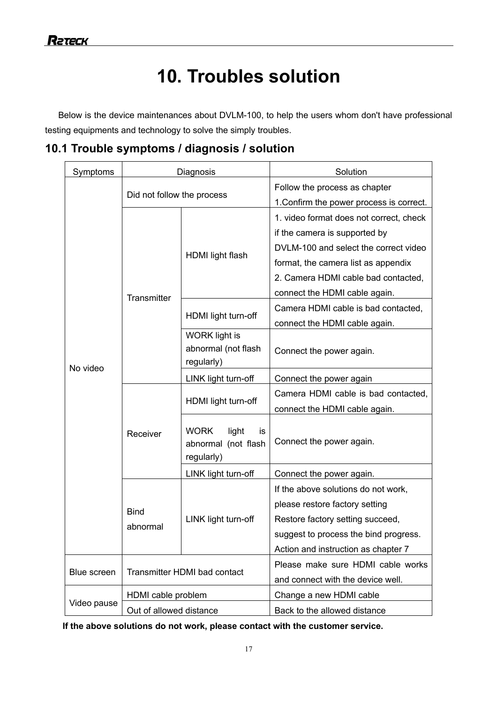# **10. Troubles solution**

Below is the device maintenances about DVLM-100, to help the users whom don't have professional testing equipments and technology to solve the simply troubles.

**10.1 Trouble symptoms / diagnosis / solution**

| Symptoms    | Diagnosis                    |                                   | Solution                                 |  |
|-------------|------------------------------|-----------------------------------|------------------------------------------|--|
|             | Did not follow the process   |                                   | Follow the process as chapter            |  |
|             |                              |                                   | 1. Confirm the power process is correct. |  |
|             | Transmitter                  | HDMI light flash                  | 1. video format does not correct, check  |  |
|             |                              |                                   | if the camera is supported by            |  |
|             |                              |                                   | DVLM-100 and select the correct video    |  |
|             |                              |                                   | format, the camera list as appendix      |  |
|             |                              |                                   | 2. Camera HDMI cable bad contacted,      |  |
|             |                              |                                   | connect the HDMI cable again.            |  |
|             |                              | HDMI light turn-off               | Camera HDMI cable is bad contacted,      |  |
|             |                              |                                   | connect the HDMI cable again.            |  |
|             |                              | <b>WORK</b> light is              |                                          |  |
|             |                              | abnormal (not flash               | Connect the power again.                 |  |
| No video    |                              | regularly)                        |                                          |  |
|             | Receiver                     | LINK light turn-off               | Connect the power again                  |  |
|             |                              | HDMI light turn-off               | Camera HDMI cable is bad contacted,      |  |
|             |                              |                                   | connect the HDMI cable again.            |  |
|             |                              | <b>WORK</b><br>light<br>is        |                                          |  |
|             |                              | abnormal (not flash<br>regularly) | Connect the power again.                 |  |
|             |                              | LINK light turn-off               | Connect the power again.                 |  |
|             | <b>Bind</b><br>abnormal      | LINK light turn-off               | If the above solutions do not work,      |  |
|             |                              |                                   | please restore factory setting           |  |
|             |                              |                                   | Restore factory setting succeed,         |  |
|             |                              |                                   | suggest to process the bind progress.    |  |
|             |                              |                                   | Action and instruction as chapter 7      |  |
|             | Transmitter HDMI bad contact |                                   | Please make sure HDMI cable works        |  |
| Blue screen |                              |                                   | and connect with the device well.        |  |
| Video pause | HDMI cable problem           |                                   | Change a new HDMI cable                  |  |
|             | Out of allowed distance      |                                   | Back to the allowed distance             |  |

**If the above solutions do not work, please contact with the customer service.**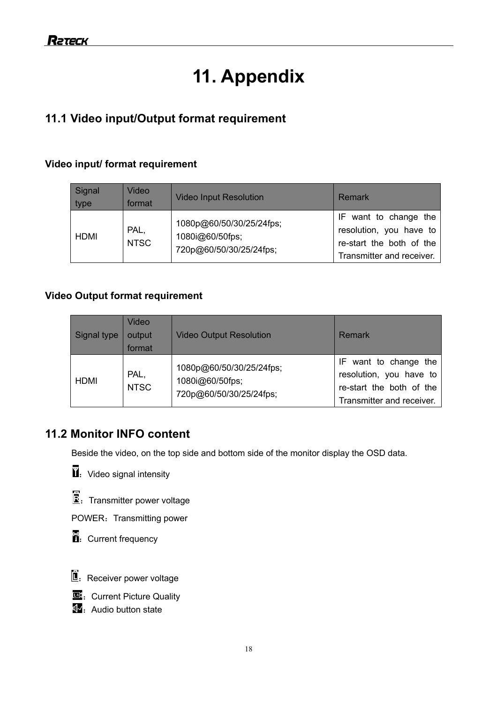# **11. Appendix**

# **11.1 Video input/Output format requirement**

### **Video input/ format requirement**

| Signal<br>type | Video<br>format     | <b>Video Input Resolution</b>                                          | Remark                                                                                                    |
|----------------|---------------------|------------------------------------------------------------------------|-----------------------------------------------------------------------------------------------------------|
| HDMI           | PAL,<br><b>NTSC</b> | 1080p@60/50/30/25/24fps;<br>1080i@60/50fps;<br>720p@60/50/30/25/24fps; | IF want to change the<br>resolution, you have to<br>re-start the both of the<br>Transmitter and receiver. |

### **Video Output format requirement**

| Signal type | Video<br>output<br>format | <b>Video Output Resolution</b>                                         | Remark                                                                                                    |
|-------------|---------------------------|------------------------------------------------------------------------|-----------------------------------------------------------------------------------------------------------|
| <b>HDMI</b> | PAL,<br><b>NTSC</b>       | 1080p@60/50/30/25/24fps;<br>1080i@60/50fps;<br>720p@60/50/30/25/24fps; | IF want to change the<br>resolution, you have to<br>re-start the both of the<br>Transmitter and receiver. |

# **11.2 Monitor INFO content**

Beside the video, on the top side and bottom side of the monitor display the OSD data.



 $\mathbf{E}$ . Transmitter power voltage

POWER: Transmitting power





- **ED**: Current Picture Quality
- $\overline{\mathfrak{A}}$ . Audio button state